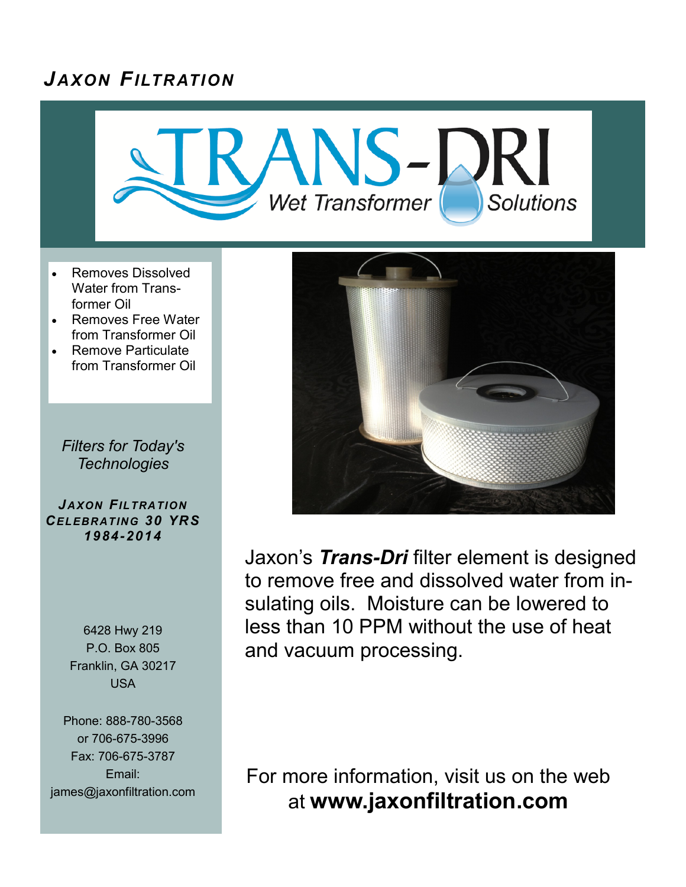# *J AXON FILTRATION*



- Removes Dissolved Water from Transformer Oil
- Removes Free Water from Transformer Oil
- Remove Particulate from Transformer Oil

*Filters for Today's Technologies*

*J AXON FILTRATION CELEBRATING 30 YRS 1984-2014*

> 6428 Hwy 219 P.O. Box 805 Franklin, GA 30217 USA

Phone: 888-780-3568 or 706-675-3996 Fax: 706-675-3787 Email: james@jaxonfiltration.com



Jaxon's *Trans-Dri* filter element is designed to remove free and dissolved water from insulating oils. Moisture can be lowered to less than 10 PPM without the use of heat and vacuum processing.

For more information, visit us on the web at **www.jaxonfiltration.com**